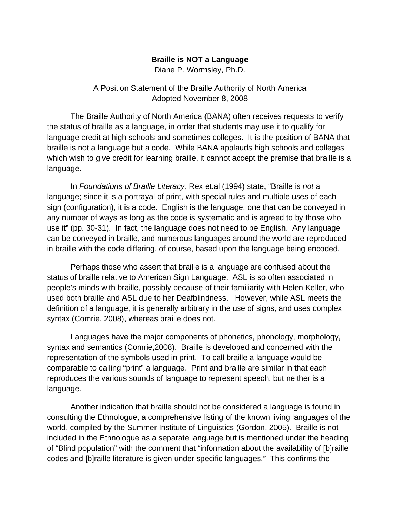## **Braille is NOT a Language**

Diane P. Wormsley, Ph.D.

## A Position Statement of the Braille Authority of North America Adopted November 8, 2008

The Braille Authority of North America (BANA) often receives requests to verify the status of braille as a language, in order that students may use it to qualify for language credit at high schools and sometimes colleges. It is the position of BANA that braille is not a language but a code. While BANA applauds high schools and colleges which wish to give credit for learning braille, it cannot accept the premise that braille is a language.

In *Foundations of Braille Literacy*, Rex et.al (1994) state, "Braille is *not* a language; since it is a portrayal of print, with special rules and multiple uses of each sign (configuration), it is a code. English is the language, one that can be conveyed in any number of ways as long as the code is systematic and is agreed to by those who use it" (pp. 30-31). In fact, the language does not need to be English. Any language can be conveyed in braille, and numerous languages around the world are reproduced in braille with the code differing, of course, based upon the language being encoded.

Perhaps those who assert that braille is a language are confused about the status of braille relative to American Sign Language. ASL is so often associated in people's minds with braille, possibly because of their familiarity with Helen Keller, who used both braille and ASL due to her Deafblindness. However, while ASL meets the definition of a language, it is generally arbitrary in the use of signs, and uses complex syntax (Comrie, 2008), whereas braille does not.

Languages have the major components of phonetics, phonology, morphology, syntax and semantics (Comrie,2008). Braille is developed and concerned with the representation of the symbols used in print. To call braille a language would be comparable to calling "print" a language. Print and braille are similar in that each reproduces the various sounds of language to represent speech, but neither is a language.

Another indication that braille should not be considered a language is found in consulting the Ethnologue, a comprehensive listing of the known living languages of the world, compiled by the Summer Institute of Linguistics (Gordon, 2005). Braille is not included in the Ethnologue as a separate language but is mentioned under the heading of "Blind population" with the comment that "information about the availability of [b]raille codes and [b]raille literature is given under specific languages." This confirms the